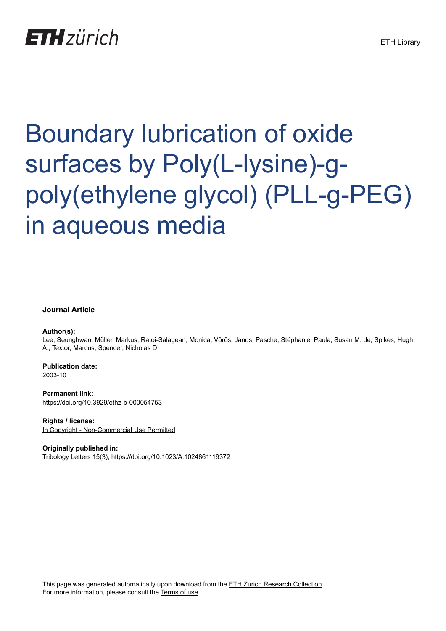## **ETH** zürich

# Boundary lubrication of oxide surfaces by Poly(L-lysine)-gpoly(ethylene glycol) (PLL-g-PEG) in aqueous media

#### **Journal Article**

#### **Author(s):**

Lee, Seunghwan; Müller, Markus; Ratoi-Salagean, Monica; Vörös, Janos; Pasche, Stéphanie; Paula, Susan M. de; Spikes, Hugh A.; Textor, Marcus; Spencer, Nicholas D.

**Publication date:** 2003-10

**Permanent link:** <https://doi.org/10.3929/ethz-b-000054753>

**Rights / license:** [In Copyright - Non-Commercial Use Permitted](http://rightsstatements.org/page/InC-NC/1.0/)

**Originally published in:** Tribology Letters 15(3), <https://doi.org/10.1023/A:1024861119372>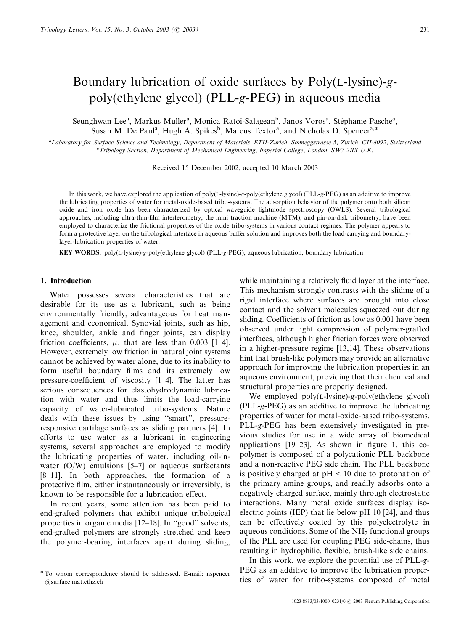### Boundary lubrication of oxide surfaces by Poly(L-lysine)-gpoly(ethylene glycol) (PLL-g-PEG) in aqueous media

Seunghwan Lee<sup>a</sup>, Markus Müller<sup>a</sup>, Monica Ratoi-Salagean<sup>b</sup>, Janos Vörös<sup>a</sup>, Stéphanie Pasche<sup>a</sup>, Susan M. De Paul<sup>a</sup>, Hugh A. Spikes<sup>b</sup>, Marcus Textor<sup>a</sup>, and Nicholas D. Spencer<sup>a,\*</sup>

<sup>a</sup> Laboratory for Surface Science and Technology, Department of Materials, ETH-Zürich, Sonneggstrasse 5, Zürich, CH-8092, Switzerland<br><sup>b</sup> Tribology Section, Department of Mechanical Engineering, Imperial College, London,  $b$ Tribology Section, Department of Mechanical Engineering, Imperial College, London, SW7 2BX U.K.

Received 15 December 2002; accepted 10 March 2003

In this work, we have explored the application of poly(L-lysine)-g-poly(ethylene glycol) (PLL-g-PEG) as an additive to improve the lubricating properties of water for metal-oxide-based tribo-systems. The adsorption behavior of the polymer onto both silicon oxide and iron oxide has been characterized by optical waveguide lightmode spectroscopy (OWLS). Several tribological approaches, including ultra-thin-film interferometry, the mini traction machine (MTM), and pin-on-disk tribometry, have been employed to characterize the frictional properties of the oxide tribo-systems in various contact regimes. The polymer appears to form a protective layer on the tribological interface in aqueous buffer solution and improves both the load-carrying and boundarylayer-lubrication properties of water.

KEY WORDS: poly(L-lysine)-g-poly(ethylene glycol) (PLL-g-PEG), aqueous lubrication, boundary lubrication

#### 1. Introduction

Water possesses several characteristics that are desirable for its use as a lubricant, such as being environmentally friendly, advantageous for heat management and economical. Synovial joints, such as hip, knee, shoulder, ankle and finger joints, can display friction coefficients,  $\mu$ , that are less than 0.003 [1–4]. However, extremely low friction in natural joint systems cannot be achieved by water alone, due to its inability to form useful boundary films and its extremely low pressure-coefficient of viscosity [1–4]. The latter has serious consequences for elastohydrodynamic lubrication with water and thus limits the load-carrying capacity of water-lubricated tribo-systems. Nature deals with these issues by using ''smart'', pressureresponsive cartilage surfaces as sliding partners [4]. In efforts to use water as a lubricant in engineering systems, several approaches are employed to modify the lubricating properties of water, including oil-inwater  $(O/W)$  emulsions [5–7] or aqueous surfactants [8–11]. In both approaches, the formation of a protective film, either instantaneously or irreversibly, is known to be responsible for a lubrication effect.

In recent years, some attention has been paid to end-grafted polymers that exhibit unique tribological properties in organic media [12–18]. In ''good'' solvents, end-grafted polymers are strongly stretched and keep the polymer-bearing interfaces apart during sliding, while maintaining a relatively fluid layer at the interface. This mechanism strongly contrasts with the sliding of a rigid interface where surfaces are brought into close contact and the solvent molecules squeezed out during sliding. Coefficients of friction as low as 0.001 have been observed under light compression of polymer-grafted interfaces, although higher friction forces were observed in a higher-pressure regime [13,14]. These observations hint that brush-like polymers may provide an alternative approach for improving the lubrication properties in an aqueous environment, providing that their chemical and structural properties are properly designed.

We employed poly(L-lysine)-g-poly(ethylene glycol) (PLL-g-PEG) as an additive to improve the lubricating properties of water for metal-oxide-based tribo-systems. PLL-g-PEG has been extensively investigated in previous studies for use in a wide array of biomedical applications [19–23]. As shown in figure 1, this copolymer is composed of a polycationic PLL backbone and a non-reactive PEG side chain. The PLL backbone is positively charged at  $pH \le 10$  due to protonation of the primary amine groups, and readily adsorbs onto a negatively charged surface, mainly through electrostatic interactions. Many metal oxide surfaces display isoelectric points (IEP) that lie below pH 10 [24], and thus can be effectively coated by this polyelectrolyte in aqueous conditions. Some of the  $NH<sub>2</sub>$  functional groups of the PLL are used for coupling PEG side-chains, thus resulting in hydrophilic, flexible, brush-like side chains.

In this work, we explore the potential use of PLL-g-PEG as an additive to improve the lubrication properties of water for tribo-systems composed of metal

To whom correspondence should be addressed. E-mail: nspencer @surface.mat.ethz.ch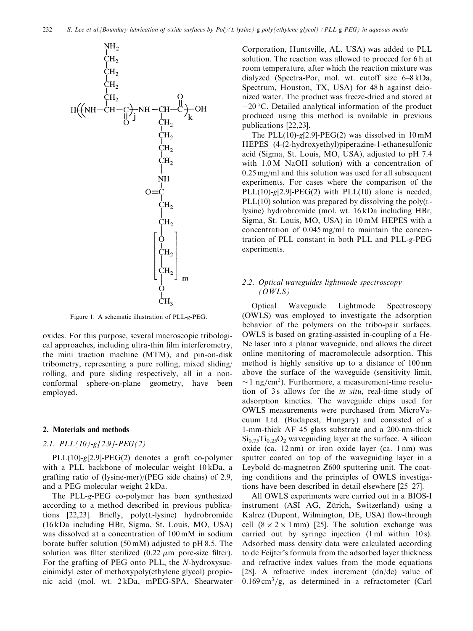

Figure 1. A schematic illustration of PLL-g-PEG.

oxides. For this purpose, several macroscopic tribological approaches, including ultra-thin film interferometry, the mini traction machine (MTM), and pin-on-disk tribometry, representing a pure rolling, mixed sliding/ rolling, and pure sliding respectively, all in a nonconformal sphere-on-plane geometry, have been employed.

#### 2. Materials and methods

#### 2.1.  $PLL(10) - g[2.9] - PEG(2)$

PLL(10)-g[2.9]-PEG(2) denotes a graft co-polymer with a PLL backbone of molecular weight 10 kDa, a grafting ratio of (lysine-mer)/(PEG side chains) of 2.9, and a PEG molecular weight 2 kDa.

The PLL-g-PEG co-polymer has been synthesized according to a method described in previous publications [22,23]. Briefly, poly(L-lysine) hydrobromide (16 kDa including HBr, Sigma, St. Louis, MO, USA) was dissolved at a concentration of 100 mM in sodium borate buffer solution (50 mM) adjusted to pH 8.5. The solution was filter sterilized  $(0.22 \mu m)$  pore-size filter). For the grafting of PEG onto PLL, the N-hydroxysuccinimidyl ester of methoxypoly(ethylene glycol) propionic acid (mol. wt. 2 kDa, mPEG-SPA, Shearwater

Corporation, Huntsville, AL, USA) was added to PLL solution. The reaction was allowed to proceed for 6h at room temperature, after which the reaction mixture was dialyzed (Spectra-Por, mol. wt. cutoff size 6–8 kDa, Spectrum, Houston, TX, USA) for 48 h against deionized water. The product was freeze-dried and stored at  $-20$  °C. Detailed analytical information of the product produced using this method is available in previous publications [22,23].

The PLL(10)-g[2.9]-PEG(2) was dissolved in  $10 \text{ mM}$ HEPES (4-(2-hydroxyethyl)piperazine-1-ethanesulfonic acid (Sigma, St. Louis, MO, USA), adjusted to pH 7.4 with  $1.0 M$  NaOH solution) with a concentration of 0.25 mg/ml and this solution was used for all subsequent experiments. For cases where the comparison of the  $PLL(10)-g[2.9]-PEG(2)$  with  $PLL(10)$  alone is needed, PLL(10) solution was prepared by dissolving the poly( $L$ lysine) hydrobromide (mol. wt. 16 kDa including HBr, Sigma, St. Louis, MO, USA) in 10 mM HEPES with a concentration of 0.045 mg/ml to maintain the concentration of PLL constant in both PLL and PLL-g-PEG experiments.

#### 2.2. Optical waveguides lightmode spectroscopy (OWLS)

Optical Waveguide Lightmode Spectroscopy (OWLS) was employed to investigate the adsorption behavior of the polymers on the tribo-pair surfaces. OWLS is based on grating-assisted in-coupling of a He-Ne laser into a planar waveguide, and allows the direct online monitoring of macromolecule adsorption. This method is highly sensitive up to a distance of 100 nm above the surface of the waveguide (sensitivity limit,  $\sim$ 1 ng/cm<sup>2</sup>). Furthermore, a measurement-time resolution of 3s allows for the *in situ*, real-time study of adsorption kinetics. The waveguide chips used for OWLS measurements were purchased from MicroVacuum Ltd. (Budapest, Hungary) and consisted of a 1-mm-thick AF 45 glass substrate and a 200-nm-thick  $Si<sub>0.75</sub>Ti<sub>0.25</sub>O<sub>2</sub>$  waveguiding layer at the surface. A silicon oxide (ca. 12 nm) or iron oxide layer (ca. 1 nm) was sputter coated on top of the waveguiding layer in a Leybold dc-magnetron Z600 sputtering unit. The coating conditions and the principles of OWLS investigations have been described in detail elsewhere [25–27].

All OWLS experiments were carried out in a BIOS-I instrument (ASI AG, Zürich, Switzerland) using a Kalrez (Dupont, Wilmington, DE, USA) flow-through cell  $(8 \times 2 \times 1 \text{ mm})$  [25]. The solution exchange was carried out by syringe injection (1 ml within 10 s). Adsorbed mass density data were calculated according to de Feijter's formula from the adsorbed layer thickness and refractive index values from the mode equations [28]. A refractive index increment (dn/dc) value of  $0.169 \text{ cm}^3/\text{g}$ , as determined in a refractometer (Carl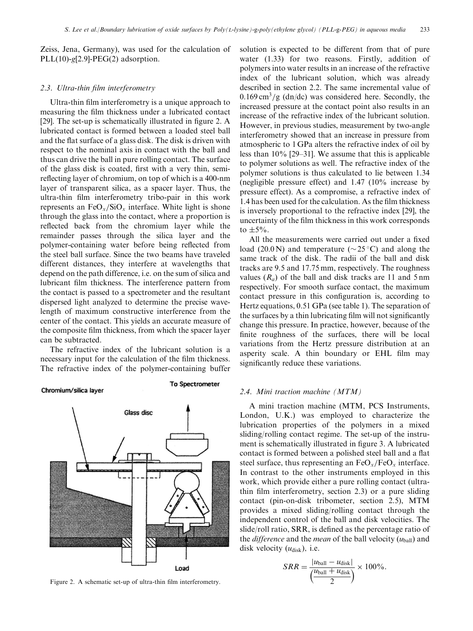Zeiss, Jena, Germany), was used for the calculation of  $PLL(10)-g[2.9]-PEG(2)$  adsorption.

#### 2.3. Ultra-thin film interferometry

Ultra-thin film interferometry is a unique approach to measuring the film thickness under a lubricated contact [29]. The set-up is schematically illustrated in figure 2. A lubricated contact is formed between a loaded steel ball and the flat surface of a glass disk. The disk is driven with respect to the nominal axis in contact with the ball and thus can drive the ball in pure rolling contact. The surface of the glass disk is coated, first with a very thin, semireflecting layer of chromium, on top of which is a 400-nm layer of transparent silica, as a spacer layer. Thus, the ultra-thin film interferometry tribo-pair in this work represents an  $FeO_x/SiO_x$  interface. White light is shone through the glass into the contact, where a proportion is reflected back from the chromium layer while the remainder passes through the silica layer and the polymer-containing water before being reflected from the steel ball surface. Since the two beams have traveled different distances, they interfere at wavelengths that depend on the path difference, i.e. on the sum of silica and lubricant film thickness. The interference pattern from the contact is passed to a spectrometer and the resultant dispersed light analyzed to determine the precise wavelength of maximum constructive interference from the center of the contact. This yields an accurate measure of the composite film thickness, from which the spacer layer can be subtracted.

The refractive index of the lubricant solution is a necessary input for the calculation of the film thickness. The refractive index of the polymer-containing buffer

Chromium/silica layer

To Spectrometer



Figure 2. A schematic set-up of ultra-thin film interferometry.

solution is expected to be different from that of pure water (1.33) for two reasons. Firstly, addition of polymers into water results in an increase of the refractive index of the lubricant solution, which was already described in section 2.2. The same incremental value of  $0.169 \text{ cm}^3/\text{g}$  (dn/dc) was considered here. Secondly, the increased pressure at the contact point also results in an increase of the refractive index of the lubricant solution. However, in previous studies, measurement by two-angle interferometry showed that an increase in pressure from atmospheric to 1 GPa alters the refractive index of oil by less than 10% [29–31]. We assume that this is applicable to polymer solutions as well. The refractive index of the polymer solutions is thus calculated to lie between 1.34 (negligible pressure effect) and 1.47 (10% increase by pressure effect). As a compromise, a refractive index of 1.4 has been used for the calculation. As the film thickness is inversely proportional to the refractive index [29], the uncertainty of the film thickness in this work corresponds to  $\pm 5\%$ .

All the measurements were carried out under a fixed load (20.0 N) and temperature ( $\sim$ 25 °C) and along the same track of the disk. The radii of the ball and disk tracks are 9.5 and 17.75 mm, respectively. The roughness values  $(R_a)$  of the ball and disk tracks are 11 and 5 nm respectively. For smooth surface contact, the maximum contact pressure in this configuration is, according to Hertz equations, 0.51 GPa (see table 1). The separation of the surfaces by a thin lubricating film will not significantly change this pressure. In practice, however, because of the finite roughness of the surfaces, there will be local variations from the Hertz pressure distribution at an asperity scale. A thin boundary or EHL film may significantly reduce these variations.

#### 2.4. Mini traction machine (MTM)

A mini traction machine (MTM, PCS Instruments, London, U.K.) was employed to characterize the lubrication properties of the polymers in a mixed sliding/rolling contact regime. The set-up of the instrument is schematically illustrated in figure 3. A lubricated contact is formed between a polished steel ball and a flat steel surface, thus representing an  $FeO_x/FeO_x$  interface. In contrast to the other instruments employed in this work, which provide either a pure rolling contact (ultrathin film interferometry, section 2.3) or a pure sliding contact (pin-on-disk tribometer, section 2.5), MTM provides a mixed sliding/rolling contact through the independent control of the ball and disk velocities. The slide/roll ratio, SRR, is defined as the percentage ratio of the *difference* and the *mean* of the ball velocity  $(u_{ball})$  and disk velocity  $(u_{disk})$ , i.e.

$$
SRR = \frac{|u_{\text{ball}} - u_{\text{disk}}|}{\left(\frac{u_{\text{ball}} + u_{\text{disk}}}{2}\right)} \times 100\%.
$$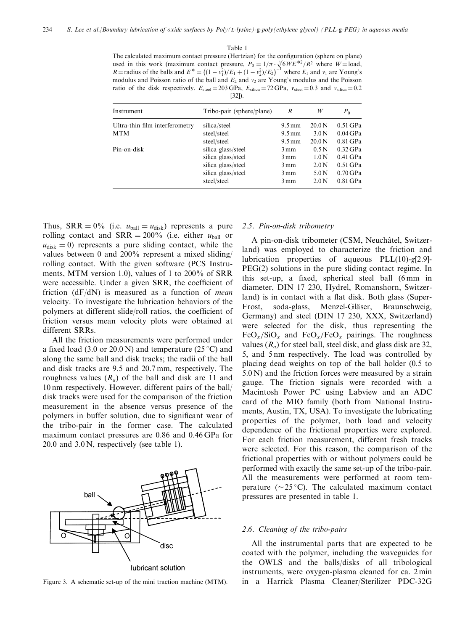#### Table 1

The calculated maximum contact pressure (Hertzian) for the configuration (sphere on plane) inc calculated maximum contact pressure (Terrelation for the comiguration (spiece on piant) used in this work (maximum contact pressure,  $P_0 = 1/\pi \cdot \sqrt[3]{6W}E^{*2}/R^2$  where  $W =$  load, R = radius of the balls and  $E^* = ((1 - v_1^2)/E_1 + (1 - v_2^2)/E_2)^{-1}$  where  $E_1$  and  $v_1$  are Young's modulus and Poisson ratio of the ball and  $E_2$  and  $v_2$  are Young's modulus and the Poisson ratio of the disk respectively.  $E_{\text{steel}} = 203 \text{ GPa}$ ,  $E_{\text{silica}} = 72 \text{ GPa}$ ,  $v_{\text{steel}} = 0.3$  and  $v_{\text{silica}} = 0.2$ [32]).

| Instrument                     | Tribo-pair (sphere/plane) | R                   | W                  | $P_0$      |
|--------------------------------|---------------------------|---------------------|--------------------|------------|
| Ultra-thin film interferometry | silica/steel              | $9.5 \,\mathrm{mm}$ | $20.0\,\mathrm{N}$ | 0.51 GPa   |
| <b>MTM</b>                     | steel/steel               | $9.5 \,\mathrm{mm}$ | 3.0 <sub>N</sub>   | $0.04$ GPa |
|                                | steel/steel               | $9.5 \,\mathrm{mm}$ | $20.0\,\mathrm{N}$ | 0.81 GPa   |
| Pin-on-disk                    | silica glass/steel        | $3 \,\mathrm{mm}$   | 0.5 <sub>N</sub>   | $0.32$ GPa |
|                                | silica glass/steel        | $3 \,\mathrm{mm}$   | 1.0 <sub>N</sub>   | $0.41$ GPa |
|                                | silica glass/steel        | $3 \,\mathrm{mm}$   | 2.0 <sub>N</sub>   | 0.51 GPa   |
|                                | silica glass/steel        | $3 \,\mathrm{mm}$   | 5.0 <sub>N</sub>   | $0.70$ GPa |
|                                | steel/steel               | $3 \,\mathrm{mm}$   | 2.0 <sub>N</sub>   | 0.81 GPa   |

Thus,  $SRR = 0\%$  (i.e.  $u_{ball} = u_{disk}$ ) represents a pure rolling contact and  $SRR = 200\%$  (i.e. either  $u_{ball}$  or  $u_{\text{disk}} = 0$ ) represents a pure sliding contact, while the values between 0 and 200% represent a mixed sliding/ rolling contact. With the given software (PCS Instruments, MTM version 1.0), values of 1 to 200% of SRR were accessible. Under a given SRR, the coefficient of friction  $(dF/dN)$  is measured as a function of *mean* velocity. To investigate the lubrication behaviors of the polymers at different slide/roll ratios, the coefficient of friction versus mean velocity plots were obtained at different SRRs.

All the friction measurements were performed under a fixed load (3.0 or 20.0 N) and temperature (25 °C) and along the same ball and disk tracks; the radii of the ball and disk tracks are 9.5 and 20.7 mm, respectively. The roughness values  $(R_a)$  of the ball and disk are 11 and 10 nm respectively. However, different pairs of the ball/ disk tracks were used for the comparison of the friction measurement in the absence versus presence of the polymers in buffer solution, due to significant wear of the tribo-pair in the former case. The calculated maximum contact pressures are 0.86 and 0.46 GPa for 20.0 and 3.0 N, respectively (see table 1).



Figure 3. A schematic set-up of the mini traction machine (MTM).

#### 2.5. Pin-on-disk tribometry

A pin-on-disk tribometer (CSM, Neuchâtel, Switzerland) was employed to characterize the friction and lubrication properties of aqueous PLL(10)-g[2.9]- PEG(2) solutions in the pure sliding contact regime. In this set-up, a fixed, spherical steel ball (6 mm in diameter, DIN 17 230, Hydrel, Romanshorn, Switzerland) is in contact with a flat disk. Both glass (Super-Frost, soda-glass, Menzel-Gläser, Braunschweig, Germany) and steel (DIN 17 230, XXX, Switzerland) were selected for the disk, thus representing the  $FeO_x/SiO_x$  and  $FeO_x/FeO_x$  pairings. The roughness values  $(R_a)$  for steel ball, steel disk, and glass disk are 32, 5, and 5 nm respectively. The load was controlled by placing dead weights on top of the ball holder (0.5 to 5.0 N) and the friction forces were measured by a strain gauge. The friction signals were recorded with a Macintosh Power PC using Labview and an ADC card of the MIO family (both from National Instruments, Austin, TX, USA). To investigate the lubricating properties of the polymer, both load and velocity dependence of the frictional properties were explored. For each friction measurement, different fresh tracks were selected. For this reason, the comparison of the frictional properties with or without polymers could be performed with exactly the same set-up of the tribo-pair. All the measurements were performed at room temperature  $(\sim 25 \degree C)$ . The calculated maximum contact pressures are presented in table 1.

#### 2.6. Cleaning of the tribo-pairs

All the instrumental parts that are expected to be coated with the polymer, including the waveguides for the OWLS and the balls/disks of all tribological instruments, were oxygen-plasma cleaned for ca. 2 min in a Harrick Plasma Cleaner/Sterilizer PDC-32G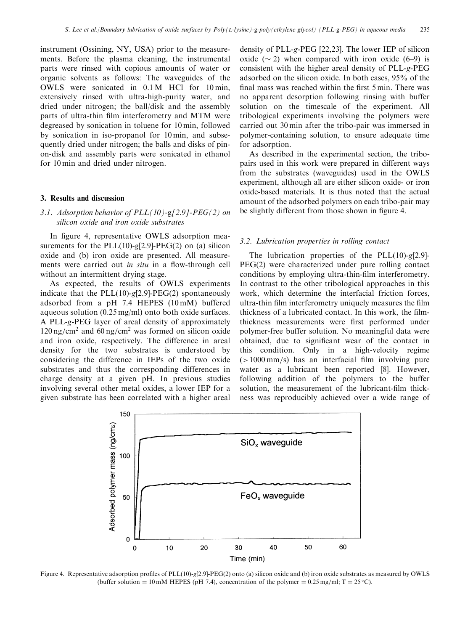instrument (Ossining, NY, USA) prior to the measurements. Before the plasma cleaning, the instrumental parts were rinsed with copious amounts of water or organic solvents as follows: The waveguides of the OWLS were sonicated in 0.1 M HCl for 10 min, extensively rinsed with ultra-high-purity water, and dried under nitrogen; the ball/disk and the assembly parts of ultra-thin film interferometry and MTM were degreased by sonication in toluene for 10 min, followed by sonication in iso-propanol for 10 min, and subsequently dried under nitrogen; the balls and disks of pinon-disk and assembly parts were sonicated in ethanol for 10 min and dried under nitrogen.

#### 3. Results and discussion

#### 3.1. Adsorption behavior of  $PLL(10)-g[2.9]-PEG(2)$  on silicon oxide and iron oxide substrates

In figure 4, representative OWLS adsorption measurements for the PLL $(10)$ -g[2.9]-PEG $(2)$  on  $(a)$  silicon oxide and (b) iron oxide are presented. All measurements were carried out in situ in a flow-through cell without an intermittent drying stage.

As expected, the results of OWLS experiments indicate that the  $PLL(10)-g[2.9]-PEG(2)$  spontaneously adsorbed from a pH 7.4 HEPES (10 mM) buffered aqueous solution (0.25 mg/ml) onto both oxide surfaces. A PLL-g-PEG layer of areal density of approximately  $120$  ng/cm<sup>2</sup> and 60 ng/cm<sup>2</sup> was formed on silicon oxide and iron oxide, respectively. The difference in areal density for the two substrates is understood by considering the difference in IEPs of the two oxide substrates and thus the corresponding differences in charge density at a given pH. In previous studies involving several other metal oxides, a lower IEP for a given substrate has been correlated with a higher areal

density of PLL-g-PEG [22,23]. The lower IEP of silicon oxide ( $\sim$  2) when compared with iron oxide (6–9) is consistent with the higher areal density of PLL-g-PEG adsorbed on the silicon oxide. In both cases, 95% of the final mass was reached within the first 5 min. There was no apparent desorption following rinsing with buffer solution on the timescale of the experiment. All tribological experiments involving the polymers were carried out 30 min after the tribo-pair was immersed in polymer-containing solution, to ensure adequate time for adsorption.

As described in the experimental section, the tribopairs used in this work were prepared in different ways from the substrates (waveguides) used in the OWLS experiment, although all are either silicon oxide- or iron oxide-based materials. It is thus noted that the actual amount of the adsorbed polymers on each tribo-pair may be slightly different from those shown in figure 4.

#### 3.2. Lubrication properties in rolling contact

The lubrication properties of the  $PLL(10)-g[2.9]$ -PEG(2) were characterized under pure rolling contact conditions by employing ultra-thin-film interferometry. In contrast to the other tribological approaches in this work, which determine the interfacial friction forces, ultra-thin film interferometry uniquely measures the film thickness of a lubricated contact. In this work, the filmthickness measurements were first performed under polymer-free buffer solution. No meaningful data were obtained, due to significant wear of the contact in this condition. Only in a high-velocity regime  $(>1000 \,\mathrm{mm/s})$  has an interfacial film involving pure water as a lubricant been reported [8]. However, following addition of the polymers to the buffer solution, the measurement of the lubricant-film thickness was reproducibly achieved over a wide range of



Figure 4. Representative adsorption profiles of PLL(10)-g[2.9]-PEG(2) onto (a) silicon oxide and (b) iron oxide substrates as measured by OWLS (buffer solution = 10 mM HEPES (pH 7.4), concentration of the polymer =  $0.25$  mg/ml; T =  $25^{\circ}$ C).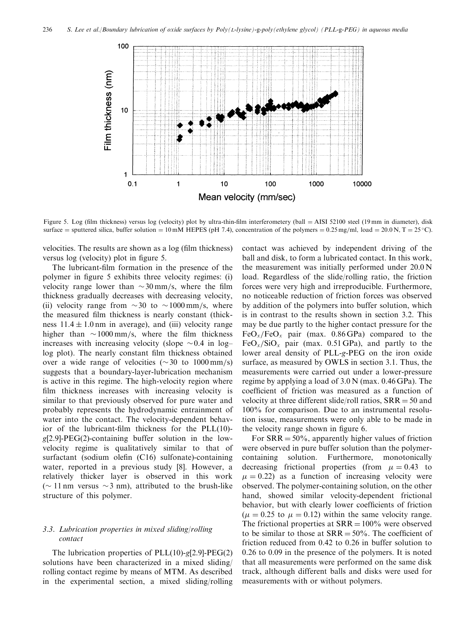

Figure 5. Log (film thickness) versus log (velocity) plot by ultra-thin-film interferometery (ball  $=$  AISI 52100 steel (19 mm in diameter), disk surface = sputtered silica, buffer solution = 10 mM HEPES (pH 7.4), concentration of the polymers = 0.25 mg/ml, load = 20.0 N, T = 25 °C).

velocities. The results are shown as a log (film thickness) versus log (velocity) plot in figure 5.

The lubricant-film formation in the presence of the polymer in figure 5 exhibits three velocity regimes: (i) velocity range lower than  $\sim 30 \text{ mm/s}$ , where the film thickness gradually decreases with decreasing velocity, (ii) velocity range from  $\sim$  30 to  $\sim$  1000 mm/s, where the measured film thickness is nearly constant (thickness  $11.4 \pm 1.0$  nm in average), and (iii) velocity range higher than  $\sim 1000$  mm/s, where the film thickness increases with increasing velocity (slope  $\sim 0.4$  in log– log plot). The nearly constant film thickness obtained over a wide range of velocities ( $\sim$ 30 to 1000 mm/s) suggests that a boundary-layer-lubrication mechanism is active in this regime. The high-velocity region where film thickness increases with increasing velocity is similar to that previously observed for pure water and probably represents the hydrodynamic entrainment of water into the contact. The velocity-dependent behavior of the lubricant-film thickness for the PLL(10)  $g[2.9]$ -PEG(2)-containing buffer solution in the lowvelocity regime is qualitatively similar to that of surfactant (sodium olefin (C16) sulfonate)-containing water, reported in a previous study [8]. However, a relatively thicker layer is observed in this work ( $\sim$  11 nm versus  $\sim$  3 nm), attributed to the brush-like structure of this polymer.

#### 3.3. Lubrication properties in mixed sliding/rolling contact

The lubrication properties of PLL(10)-g[2.9]-PEG(2) solutions have been characterized in a mixed sliding/ rolling contact regime by means of MTM. As described in the experimental section, a mixed sliding/rolling contact was achieved by independent driving of the ball and disk, to form a lubricated contact. In this work, the measurement was initially performed under 20.0 N load. Regardless of the slide/rolling ratio, the friction forces were very high and irreproducible. Furthermore, no noticeable reduction of friction forces was observed by addition of the polymers into buffer solution, which is in contrast to the results shown in section 3.2. This may be due partly to the higher contact pressure for the  $FeO<sub>x</sub>/FeO<sub>x</sub>$  pair (max. 0.86 GPa) compared to the  $FeO_x/SiO_x$  pair (max. 0.51 GPa), and partly to the lower areal density of PLL-g-PEG on the iron oxide surface, as measured by OWLS in section 3.1. Thus, the measurements were carried out under a lower-pressure regime by applying a load of 3.0 N (max. 0.46 GPa). The coefficient of friction was measured as a function of velocity at three different slide/roll ratios,  $SRR = 50$  and 100% for comparison. Due to an instrumental resolution issue, measurements were only able to be made in the velocity range shown in figure 6.

For  $SRR = 50\%$ , apparently higher values of friction were observed in pure buffer solution than the polymercontaining solution. Furthermore, monotonically decreasing frictional properties (from  $\mu = 0.43$  to  $\mu = 0.22$ ) as a function of increasing velocity were observed. The polymer-containing solution, on the other hand, showed similar velocity-dependent frictional behavior, but with clearly lower coefficients of friction  $(\mu = 0.25$  to  $\mu = 0.12)$  within the same velocity range. The frictional properties at  $SRR = 100\%$  were observed to be similar to those at  $SRR = 50\%$ . The coefficient of friction reduced from 0.42 to 0.26 in buffer solution to 0.26 to 0.09 in the presence of the polymers. It is noted that all measurements were performed on the same disk track, although different balls and disks were used for measurements with or without polymers.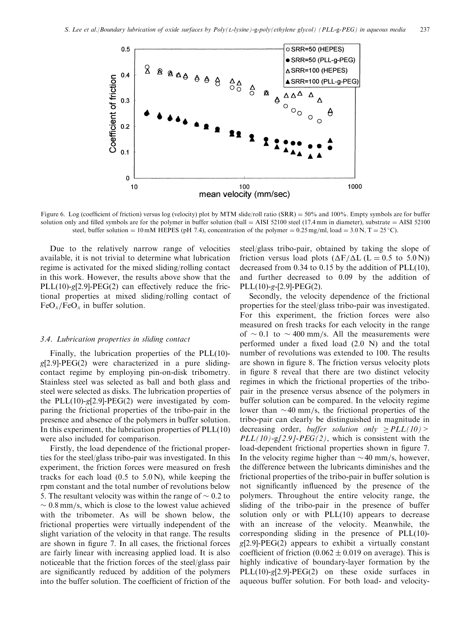

Figure 6. Log (coefficient of friction) versus log (velocity) plot by MTM slide/roll ratio (SRR) = 50% and 100%. Empty symbols are for buffer solution only and filled symbols are for the polymer in buffer solution (ball  $=$  AISI 52100 steel (17.4 mm in diameter), substrate  $=$  AISI 52100 steel, buffer solution = 10 mM HEPES (pH 7.4), concentration of the polymer =  $0.25$  mg/ml, load =  $3.0$  N, T =  $25$  °C).

Due to the relatively narrow range of velocities available, it is not trivial to determine what lubrication regime is activated for the mixed sliding/rolling contact in this work. However, the results above show that the  $PLL(10)-g[2.9]-PEG(2)$  can effectively reduce the frictional properties at mixed sliding/rolling contact of  $FeO<sub>x</sub>/FeO<sub>x</sub>$  in buffer solution.

#### 3.4. Lubrication properties in sliding contact

Finally, the lubrication properties of the PLL(10)  $g[2.9]$ -PEG(2) were characterized in a pure slidingcontact regime by employing pin-on-disk tribometry. Stainless steel was selected as ball and both glass and steel were selected as disks. The lubrication properties of the PLL $(10)$ -g[2.9]-PEG $(2)$  were investigated by comparing the frictional properties of the tribo-pair in the presence and absence of the polymers in buffer solution. In this experiment, the lubrication properties of PLL(10) were also included for comparison.

Firstly, the load dependence of the frictional properties for the steel/glass tribo-pair was investigated. In this experiment, the friction forces were measured on fresh tracks for each load  $(0.5 \text{ to } 5.0 \text{ N})$ , while keeping the rpm constant and the total number of revolutions below 5. The resultant velocity was within the range of  $\sim 0.2$  to  $\sim 0.8$  mm/s, which is close to the lowest value achieved with the tribometer. As will be shown below, the frictional properties were virtually independent of the slight variation of the velocity in that range. The results are shown in figure 7. In all cases, the frictional forces are fairly linear with increasing applied load. It is also noticeable that the friction forces of the steel/glass pair are significantly reduced by addition of the polymers into the buffer solution. The coefficient of friction of the

steel/glass tribo-pair, obtained by taking the slope of friction versus load plots  $(\Delta F/\Delta L (L = 0.5$  to 5.0 N) decreased from 0.34 to 0.15 by the addition of PLL(10), and further decreased to 0.09 by the addition of PLL(10)-g-[2.9]-PEG(2).

Secondly, the velocity dependence of the frictional properties for the steel/glass tribo-pair was investigated. For this experiment, the friction forces were also measured on fresh tracks for each velocity in the range of  $\sim$  0.1 to  $\sim$  400 mm/s. All the measurements were performed under a fixed load (2.0 N) and the total number of revolutions was extended to 100. The results are shown in figure 8. The friction versus velocity plots in figure 8 reveal that there are two distinct velocity regimes in which the frictional properties of the tribopair in the presence versus absence of the polymers in buffer solution can be compared. In the velocity regime lower than  $\sim$ 40 mm/s, the frictional properties of the tribo-pair can clearly be distinguished in magnitude in decreasing order, buffer solution only  $\geq PLL(10)$  $PLL(10)-g[2.9]-PEG(2)$ , which is consistent with the load-dependent frictional properties shown in figure 7. In the velocity regime higher than  $\sim$  40 mm/s, however, the difference between the lubricants diminishes and the frictional properties of the tribo-pair in buffer solution is not significantly influenced by the presence of the polymers. Throughout the entire velocity range, the sliding of the tribo-pair in the presence of buffer solution only or with  $PLL(10)$  appears to decrease with an increase of the velocity. Meanwhile, the corresponding sliding in the presence of PLL(10)  $g[2.9]$ -PEG(2) appears to exhibit a virtually constant coefficient of friction  $(0.062 \pm 0.019)$  on average). This is highly indicative of boundary-layer formation by the  $PLL(10)-g[2.9]-PEG(2)$  on these oxide surfaces in aqueous buffer solution. For both load- and velocity-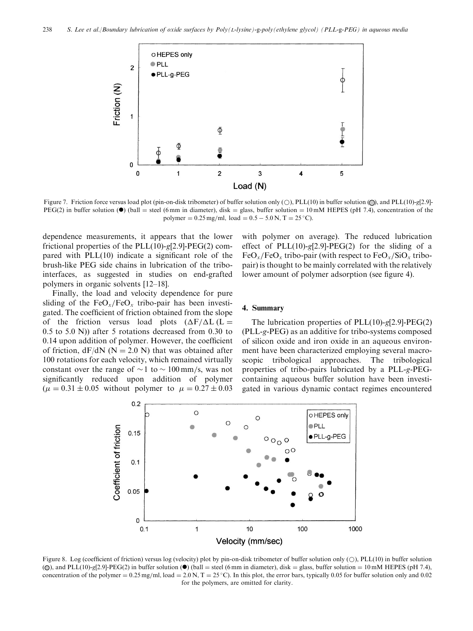

Figure 7. Friction force versus load plot (pin-on-disk tribometer) of buffer solution only ( $\bigcirc$ ), PLL(10) in buffer solution ( $\bigcirc$ ), and PLL(10)-g[2.9]-PEG(2) in buffer solution ( $\bullet$ ) (ball = steel (6 mm in diameter), disk = glass, buffer solution = 10 mM HEPES (pH 7.4), concentration of the polymer =  $0.25 \text{ mg/ml}$ , load =  $0.5 - 5.0 \text{ N}$ , T =  $25^{\circ}$ C).

dependence measurements, it appears that the lower frictional properties of the PLL $(10)$ -g[2.9]-PEG $(2)$  compared with PLL(10) indicate a significant role of the brush-like PEG side chains in lubrication of the tribointerfaces, as suggested in studies on end-grafted polymers in organic solvents [12–18].

Finally, the load and velocity dependence for pure sliding of the FeO<sub>x</sub>/FeO<sub>x</sub> tribo-pair has been investigated. The coefficient of friction obtained from the slope of the friction versus load plots  $(\Delta F/\Delta L)$  (L =  $(0.5 \text{ to } 5.0 \text{ N}))$  after 5 rotations decreased from  $(0.30 \text{ to } 5.0 \text{ N}))$ 0.14 upon addition of polymer. However, the coefficient of friction,  $dF/dN$  (N = 2.0 N) that was obtained after 100 rotations for each velocity, which remained virtually constant over the range of  $\sim$  1 to  $\sim$  100 mm/s, was not significantly reduced upon addition of polymer  $(\mu = 0.31 \pm 0.05$  without polymer to  $\mu = 0.27 \pm 0.03$ 

with polymer on average). The reduced lubrication effect of PLL $(10)$ -g[2.9]-PEG $(2)$  for the sliding of a  $FeO_x/FeO_x$  tribo-pair (with respect to  $FeO_x/SiO_x$  tribopair) is thought to be mainly correlated with the relatively lower amount of polymer adsorption (see figure 4).

#### 4. Summary

The lubrication properties of  $PLL(10)-g[2.9]-PEG(2)$ (PLL-g-PEG) as an additive for tribo-systems composed of silicon oxide and iron oxide in an aqueous environment have been characterized employing several macroscopic tribological approaches. The tribological properties of tribo-pairs lubricated by a PLL-g-PEGcontaining aqueous buffer solution have been investigated in various dynamic contact regimes encountered



Figure 8. Log (coefficient of friction) versus log (velocity) plot by pin-on-disk tribometer of buffer solution only  $(O)$ , PLL(10) in buffer solution (a), and PLL(10)-g[2.9]-PEG(2) in buffer solution ( $\bullet$ ) (ball = steel (6 mm in diameter), disk = glass, buffer solution = 10 mM HEPES (pH 7.4), concentration of the polymer = 0.25 mg/ml, load = 2.0 N, T = 25 °C). In this plot, the error bars, typically 0.05 for buffer solution only and 0.02 for the polymers, are omitted for clarity.